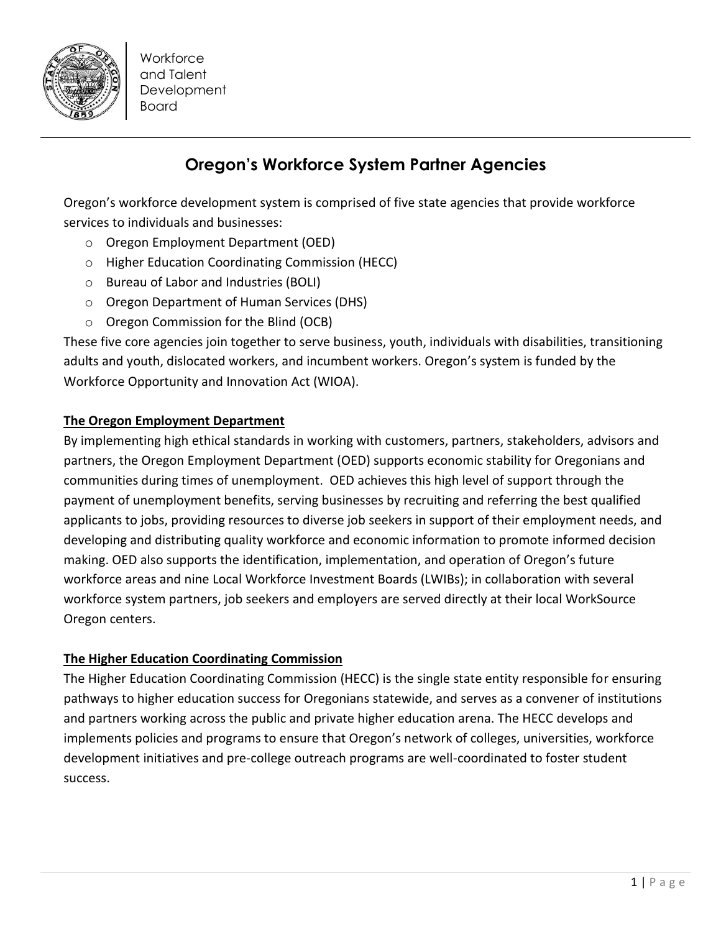

**Workforce** and Talent **Development** Board

# **Oregon's Workforce System Partner Agencies**

Oregon's workforce development system is comprised of five state agencies that provide workforce services to individuals and businesses:

- o Oregon Employment Department (OED)
- o Higher Education Coordinating Commission (HECC)
- o Bureau of Labor and Industries (BOLI)
- o Oregon Department of Human Services (DHS)
- o Oregon Commission for the Blind (OCB)

These five core agencies join together to serve business, youth, individuals with disabilities, transitioning adults and youth, dislocated workers, and incumbent workers. Oregon's system is funded by the Workforce Opportunity and Innovation Act (WIOA).

## **The Oregon Employment Department**

By implementing high ethical standards in working with customers, partners, stakeholders, advisors and partners, the Oregon Employment Department (OED) supports economic stability for Oregonians and communities during times of unemployment. OED achieves this high level of support through the payment of unemployment benefits, serving businesses by recruiting and referring the best qualified applicants to jobs, providing resources to diverse job seekers in support of their employment needs, and developing and distributing quality workforce and economic information to promote informed decision making. OED also supports the identification, implementation, and operation of Oregon's future workforce areas and nine Local Workforce Investment Boards (LWIBs); in collaboration with several workforce system partners, job seekers and employers are served directly at their local WorkSource Oregon centers.

## **The Higher Education Coordinating Commission**

The Higher Education Coordinating Commission (HECC) is the single state entity responsible for ensuring pathways to higher education success for Oregonians statewide, and serves as a convener of institutions and partners working across the public and private higher education arena. The HECC develops and implements policies and programs to ensure that Oregon's network of colleges, universities, workforce development initiatives and pre-college outreach programs are well-coordinated to foster student success.